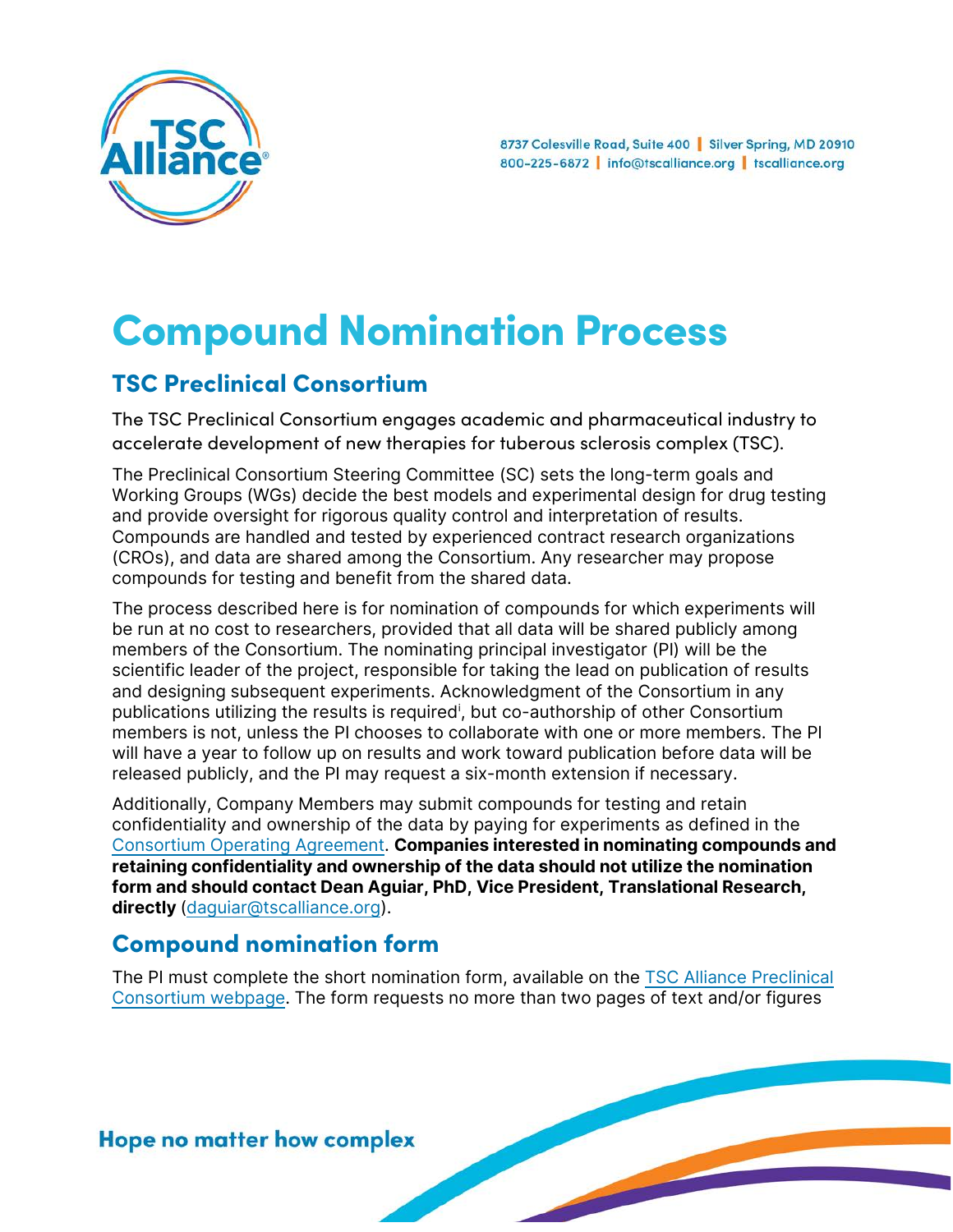

# Compound Nomination Process

# TSC Preclinical Consortium

The TSC Preclinical Consortium engages academic and pharmaceutical industry to accelerate development of new therapies for tuberous sclerosis complex (TSC).

The Preclinical Consortium Steering Committee (SC) sets the long-term goals and Working Groups (WGs) decide the best models and experimental design for drug testing and provide oversight for rigorous quality control and interpretation of results. Compounds are handled and tested by experienced contract research organizations (CROs), and data are shared among the Consortium. Any researcher may propose compounds for testing and benefit from the shared data.

The process described here is for nomination of compounds for which experiments will be run at no cost to researchers, provided that all data will be shared publicly among members of the Consortium. The nominating principal investigator (PI) will be the scientific leader of the project, responsible for taking the lead on publication of results and designing subsequent experiments. Acknowledgment of the Consortium in any publ[i](#page-1-0)cations utilizing the results is required<sup>i</sup>, but co-authorship of other Consortium members is not, unless the PI chooses to collaborate with one or more members. The PI will have a year to follow up on results and work toward publication before data will be released publicly, and the PI may request a six-month extension if necessary.

Additionally, Company Members may submit compounds for testing and retain confidentiality and ownership of the data by paying for experiments as defined in the [Consortium Operating Agreement.](https://www.tscalliance.org/wp-content/uploads/2021/06/TSC-Preclinical-Consortium-Operating-Agreement.pdf) **Companies interested in nominating compounds and retaining confidentiality and ownership of the data should not utilize the nomination form and should contact Dean Aguiar, PhD, Vice President, Translational Research, directly** [\(daguiar@tscalliance.org\)](mailto:daguiar@tscalliance.org).

# Compound nomination form

The PI must complete the short nomination form, available on the [TSC Alliance Preclinical](https://www.tscalliance.org/researchers/preclinical-consortium/)  [Consortium webpage.](https://www.tscalliance.org/researchers/preclinical-consortium/) The form requests no more than two pages of text and/or figures

### **Hope no matter how complex**